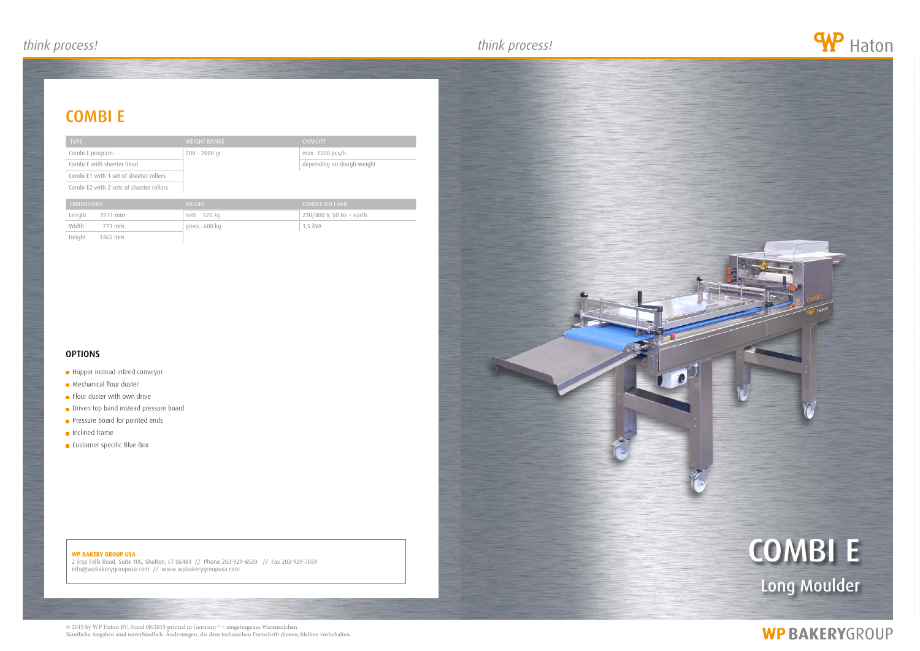### *think process! think process! think process!*

#### **WP BAKERY GROUP USA**

2 Trap Falls Road, Suite 105, Shelton, CT 06484 // Phone 203-929-6530 // Fax 203-929-7089 info@wpbakerygroupusa.com // www.wpbakerygroupusa.com





## **WP BAKERYGROUP**

### combi e

| <b>TYPE</b>                             | <b>WEIGHT RANGE</b> | <b>CAPACITY</b>           |
|-----------------------------------------|---------------------|---------------------------|
| Combi E program:                        | $200 - 2000$ gr     | max. 1500 pcs/h.          |
| Combi E with sheeter head               |                     | depending on dough weight |
| Combi E1 with 1 set of sheeter rollers  |                     |                           |
| Combi E2 with 2 sets of sheeter rollers |                     |                           |
| <b>DIMENSIONS</b>                       | <b>WEIGHT</b>       | <b>CONNECTED LOAD</b>     |
| Lenght<br>3911 mm                       | 570 kg<br>nett      | 230/400 V, 50 Hz + earth  |
| Width<br>773 mm                         | gross600.kg         | 1,5 kVA                   |
| Height<br>1465 mm                       |                     |                           |

### **OPTIONS**

#### **Hopper instead infeed conveyor**

- **Mechanical flour duster**
- Flour duster with own drive
- Driven top band instead pressure board
- **Pressure board for pointed ends**
- **Inclined frame**
- **Customer specific Blue Box**